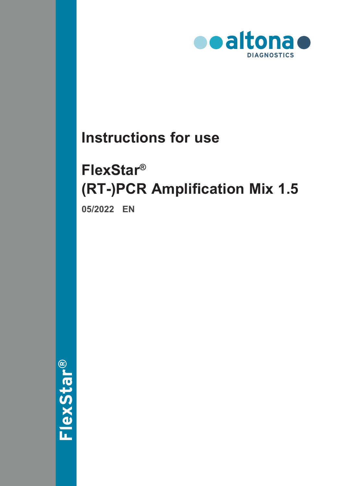

## **Instructions for use**

# **FlexStar® (RT-)PCR Amplification Mix 1.5**

**05/2022 EN**

**FlexStar ®**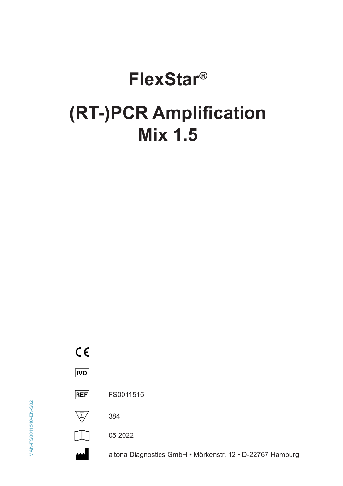## **FlexStar®**

# **(RT-)PCR Amplification Mix 1.5**

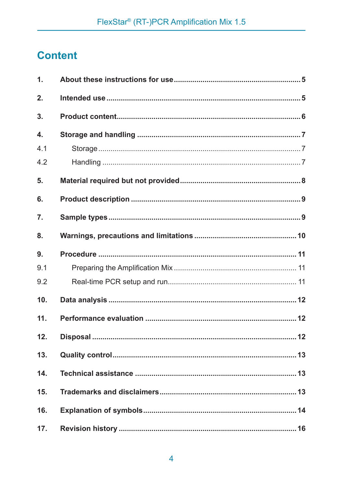## **Content**

| $\mathbf{1}$ .   |  |
|------------------|--|
| 2.               |  |
| 3.               |  |
| 4.<br>4.1<br>4.2 |  |
| 5.               |  |
| 6.               |  |
| 7.               |  |
| 8.               |  |
| 9.               |  |
| 9.1              |  |
| 9.2              |  |
| 10.              |  |
| 11.              |  |
| 12.              |  |
| 13.              |  |
| 14.              |  |
| 15.              |  |
| 16.              |  |
| 17.              |  |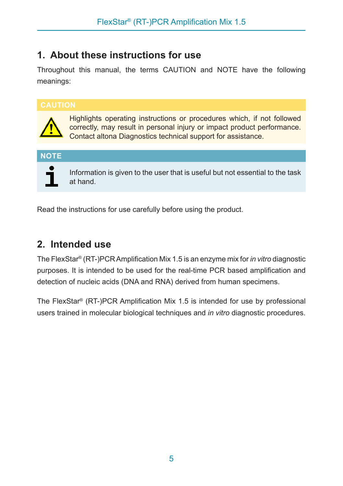#### <span id="page-4-0"></span>**1. About these instructions for use**

Throughout this manual, the terms CAUTION and NOTE have the following meanings:



Highlights operating instructions or procedures which, if not followed correctly, may result in personal injury or impact product performance. Contact altona Diagnostics technical support for assistance.

**NOTE**



Information is given to the user that is useful but not essential to the task at hand.

Read the instructions for use carefully before using the product.

### <span id="page-4-1"></span>**2. Intended use**

The FlexStar® (RT-)PCR Amplification Mix 1.5 is an enzyme mix for *in vitro* diagnostic purposes. It is intended to be used for the real-time PCR based amplification and detection of nucleic acids (DNA and RNA) derived from human specimens.

The FlexStar® (RT-)PCR Amplification Mix 1.5 is intended for use by professional users trained in molecular biological techniques and *in vitro* diagnostic procedures.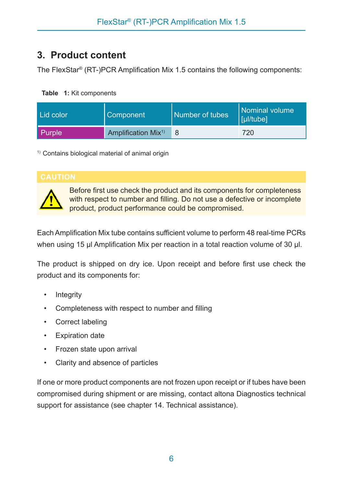### <span id="page-5-0"></span>**3. Product content**

The FlexStar® (RT-)PCR Amplification Mix 1.5 contains the following components:

#### **Table 1:** Kit components

| Lid color | l Component          | <b>Number of tubes</b> | <b>Nominal volume</b><br>$\vert \vert \vert \vert$ [µ $\vert$ /tube] |
|-----------|----------------------|------------------------|----------------------------------------------------------------------|
| Purple    | Amplification $Mix1$ |                        | 720                                                                  |

<sup>1)</sup> Contains biological material of animal origin



Before first use check the product and its components for completeness with respect to number and filling. Do not use a defective or incomplete product, product performance could be compromised.

Each Amplification Mix tube contains sufficient volume to perform 48 real-time PCRs when using 15 µl Amplification Mix per reaction in a total reaction volume of 30 µl.

The product is shipped on dry ice. Upon receipt and before first use check the product and its components for:

- **Integrity**
- Completeness with respect to number and filling
- Correct labeling
- Expiration date
- Frozen state upon arrival
- Clarity and absence of particles

If one or more product components are not frozen upon receipt or if tubes have been compromised during shipment or are missing, contact altona Diagnostics technical support for assistance (see chapter 14. Technical assistance).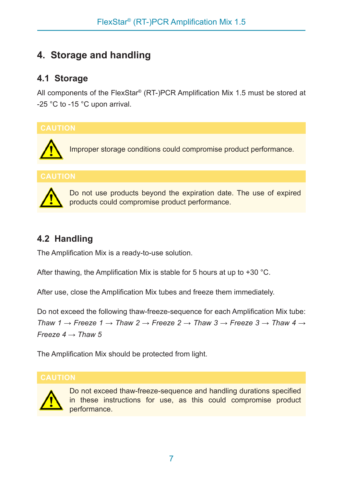### <span id="page-6-0"></span>**4. Storage and handling**

#### <span id="page-6-1"></span>**4.1 Storage**

All components of the FlexStar® (RT-)PCR Amplification Mix 1.5 must be stored at -25 °C to -15 °C upon arrival.

| <b>CAUTION</b> |                                                                   |  |  |  |
|----------------|-------------------------------------------------------------------|--|--|--|
|                | Improper storage conditions could compromise product performance. |  |  |  |
|                |                                                                   |  |  |  |
|                |                                                                   |  |  |  |





Do not use products beyond the expiration date. The use of expired products could compromise product performance.

#### <span id="page-6-2"></span>**4.2 Handling**

The Amplification Mix is a ready-to-use solution.

After thawing, the Amplification Mix is stable for 5 hours at up to +30 °C.

After use, close the Amplification Mix tubes and freeze them immediately.

Do not exceed the following thaw-freeze-sequence for each Amplification Mix tube: *Thaw 1 → Freeze 1 → Thaw 2 → Freeze 2 → Thaw 3 → Freeze 3 → Thaw 4 → Freeze 4 → Thaw 5*

The Amplification Mix should be protected from light.



Do not exceed thaw-freeze-sequence and handling durations specified in these instructions for use, as this could compromise product performance.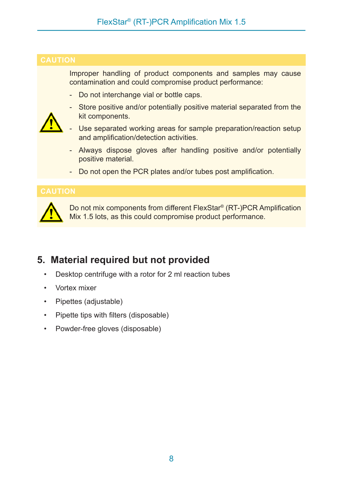Improper handling of product components and samples may cause contamination and could compromise product performance:

- Do not interchange vial or bottle caps.



- Store positive and/or potentially positive material separated from the kit components.
- Use separated working areas for sample preparation/reaction setup and amplification/detection activities.
- Always dispose gloves after handling positive and/or potentially positive material.
- Do not open the PCR plates and/or tubes post amplification.



Do not mix components from different FlexStar® (RT-)PCR Amplification Mix 1.5 lots, as this could compromise product performance.

### <span id="page-7-0"></span>**5. Material required but not provided**

- Desktop centrifuge with a rotor for 2 ml reaction tubes
- Vortex mixer
- Pipettes (adjustable)
- Pipette tips with filters (disposable)
- Powder-free gloves (disposable)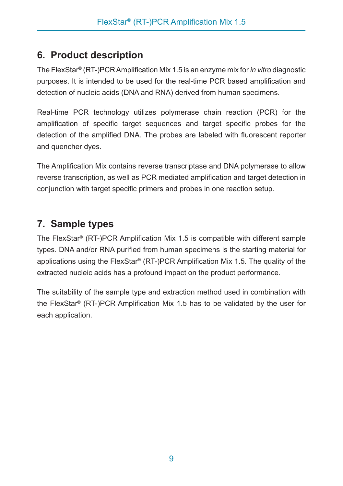### <span id="page-8-0"></span>**6. Product description**

The FlexStar® (RT-)PCR Amplification Mix 1.5 is an enzyme mix for *in vitro* diagnostic purposes. It is intended to be used for the real-time PCR based amplification and detection of nucleic acids (DNA and RNA) derived from human specimens.

Real-time PCR technology utilizes polymerase chain reaction (PCR) for the amplification of specific target sequences and target specific probes for the detection of the amplified DNA. The probes are labeled with fluorescent reporter and quencher dyes.

The Amplification Mix contains reverse transcriptase and DNA polymerase to allow reverse transcription, as well as PCR mediated amplification and target detection in conjunction with target specific primers and probes in one reaction setup.

### <span id="page-8-1"></span>**7. Sample types**

The FlexStar® (RT-)PCR Amplification Mix 1.5 is compatible with different sample types. DNA and/or RNA purified from human specimens is the starting material for applications using the FlexStar® (RT-)PCR Amplification Mix 1.5. The quality of the extracted nucleic acids has a profound impact on the product performance.

The suitability of the sample type and extraction method used in combination with the FlexStar® (RT-)PCR Amplification Mix 1.5 has to be validated by the user for each application.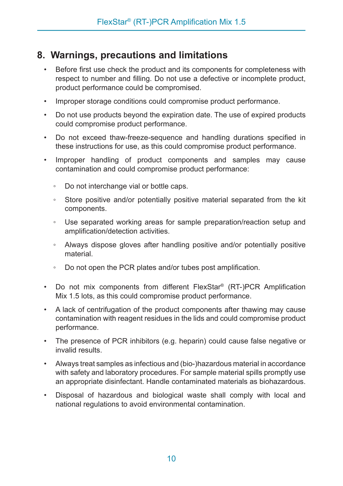#### <span id="page-9-0"></span>**8. Warnings, precautions and limitations**

- Before first use check the product and its components for completeness with respect to number and filling. Do not use a defective or incomplete product, product performance could be compromised.
- Improper storage conditions could compromise product performance.
- Do not use products beyond the expiration date. The use of expired products could compromise product performance.
- Do not exceed thaw-freeze-sequence and handling durations specified in these instructions for use, as this could compromise product performance.
- Improper handling of product components and samples may cause contamination and could compromise product performance:
	- Do not interchange vial or bottle caps.
	- Store positive and/or potentially positive material separated from the kit components.
	- Use separated working areas for sample preparation/reaction setup and amplification/detection activities.
	- Always dispose gloves after handling positive and/or potentially positive material.
	- Do not open the PCR plates and/or tubes post amplification.
- Do not mix components from different FlexStar® (RT-)PCR Amplification Mix 1.5 lots, as this could compromise product performance.
- A lack of centrifugation of the product components after thawing may cause contamination with reagent residues in the lids and could compromise product performance.
- The presence of PCR inhibitors (e.g. heparin) could cause false negative or invalid results.
- Always treat samples as infectious and (bio-)hazardous material in accordance with safety and laboratory procedures. For sample material spills promptly use an appropriate disinfectant. Handle contaminated materials as biohazardous.
- Disposal of hazardous and biological waste shall comply with local and national regulations to avoid environmental contamination.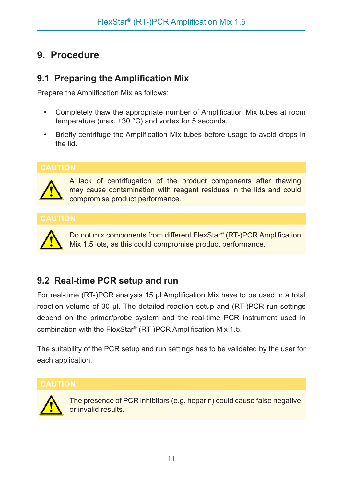### <span id="page-10-0"></span>**9. Procedure**

#### <span id="page-10-1"></span>**9.1 Preparing the Amplification Mix**

Prepare the Amplification Mix as follows:

- Completely thaw the appropriate number of Amplification Mix tubes at room temperature (max. +30 °C) and vortex for 5 seconds.
- Briefly centrifuge the Amplification Mix tubes before usage to avoid drops in the lid.



A lack of centrifugation of the product components after thawing may cause contamination with reagent residues in the lids and could compromise product performance.



Do not mix components from different FlexStar® (RT-)PCR Amplification Mix 1.5 lots, as this could compromise product performance.

#### <span id="page-10-2"></span>**9.2 Real-time PCR setup and run**

For real-time (RT-)PCR analysis 15 µl Amplification Mix have to be used in a total reaction volume of 30 µl. The detailed reaction setup and (RT-)PCR run settings depend on the primer/probe system and the real-time PCR instrument used in combination with the FlexStar® (RT-)PCR Amplification Mix 1.5.

The suitability of the PCR setup and run settings has to be validated by the user for each application.



The presence of PCR inhibitors (e.g. heparin) could cause false negative or invalid results.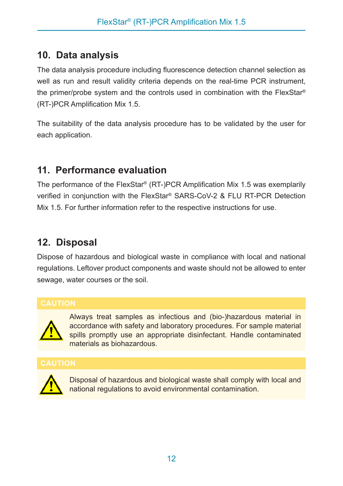#### <span id="page-11-0"></span>**10. Data analysis**

The data analysis procedure including fluorescence detection channel selection as well as run and result validity criteria depends on the real-time PCR instrument, the primer/probe system and the controls used in combination with the FlexStar® (RT-)PCR Amplification Mix 1.5.

The suitability of the data analysis procedure has to be validated by the user for each application.

### <span id="page-11-1"></span>**11. Performance evaluation**

The performance of the FlexStar® (RT-)PCR Amplification Mix 1.5 was exemplarily verified in conjunction with the FlexStar® SARS-CoV-2 & FLU RT-PCR Detection Mix 1.5. For further information refer to the respective instructions for use.

### <span id="page-11-2"></span>**12. Disposal**

Dispose of hazardous and biological waste in compliance with local and national regulations. Leftover product components and waste should not be allowed to enter sewage, water courses or the soil.



Always treat samples as infectious and (bio-)hazardous material in accordance with safety and laboratory procedures. For sample material spills promptly use an appropriate disinfectant. Handle contaminated materials as biohazardous.



Disposal of hazardous and biological waste shall comply with local and national regulations to avoid environmental contamination.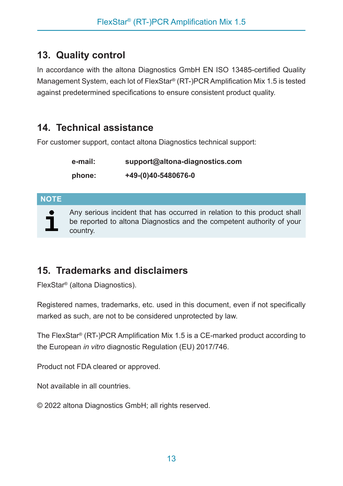### <span id="page-12-0"></span>**13. Quality control**

In accordance with the altona Diagnostics GmbH EN ISO 13485-certified Quality Management System, each lot of FlexStar® (RT-)PCR Amplification Mix 1.5 is tested against predetermined specifications to ensure consistent product quality.

#### <span id="page-12-1"></span>**14. Technical assistance**

For customer support, contact altona Diagnostics technical support:

| e-mail: | support@altona-diagnostics.com |
|---------|--------------------------------|
| phone:  | +49-(0)40-5480676-0            |

#### **NOTE**

Any serious incident that has occurred in relation to this product shall be reported to altona Diagnostics and the competent authority of your country.

#### <span id="page-12-2"></span>**15. Trademarks and disclaimers**

FlexStar® (altona Diagnostics).

Registered names, trademarks, etc. used in this document, even if not specifically marked as such, are not to be considered unprotected by law.

The FlexStar® (RT-)PCR Amplification Mix 1.5 is a CE-marked product according to the European *in vitro* diagnostic Regulation (EU) 2017/746.

Product not FDA cleared or approved.

Not available in all countries.

© 2022 altona Diagnostics GmbH; all rights reserved.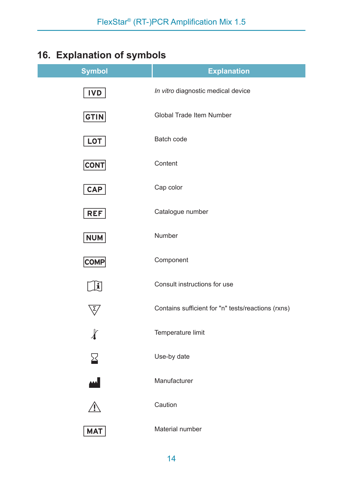## <span id="page-13-0"></span>**16. Explanation of symbols**

| <b>Symbol</b>         | <b>Explanation</b>                                 |
|-----------------------|----------------------------------------------------|
| <b>IVD</b>            | In vitro diagnostic medical device                 |
| <b>GTIN</b>           | Global Trade Item Number                           |
| <b>LOT</b>            | Batch code                                         |
| <b>CONT</b>           | Content                                            |
| CAP                   | Cap color                                          |
| <b>REF</b>            | Catalogue number                                   |
| <b>NUM</b>            | Number                                             |
| COMP                  | Component                                          |
| i                     | Consult instructions for use                       |
| $\bigtriangledown$    | Contains sufficient for "n" tests/reactions (rxns) |
| $\chi$                | Temperature limit                                  |
| $\boldsymbol{\Sigma}$ | Use-by date                                        |
| <u>ma</u>             | Manufacturer                                       |
|                       | Caution                                            |
| <b>MAT</b>            | Material number                                    |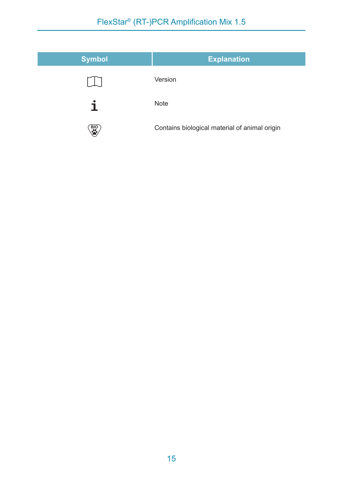| <b>Symbol</b> | <b>Explanation</b>                            |
|---------------|-----------------------------------------------|
|               | Version                                       |
|               | Note                                          |
| <b>BIO</b>    | Contains biological material of animal origin |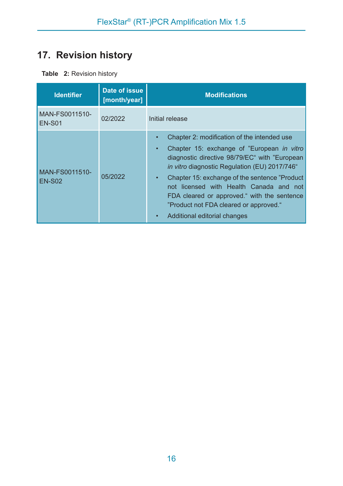## <span id="page-15-0"></span>**17. Revision history**

**Table 2:** Revision history

| <b>Identifier</b>               | Date of issue<br>[month/year] | <b>Modifications</b>                                                                                                                                                                                                                                                                                                                                                                                                                                                          |
|---------------------------------|-------------------------------|-------------------------------------------------------------------------------------------------------------------------------------------------------------------------------------------------------------------------------------------------------------------------------------------------------------------------------------------------------------------------------------------------------------------------------------------------------------------------------|
| MAN-FS0011510-<br><b>EN-S01</b> | 02/2022                       | Initial release                                                                                                                                                                                                                                                                                                                                                                                                                                                               |
| MAN-FS0011510-<br><b>EN-S02</b> | 05/2022                       | Chapter 2: modification of the intended use<br>$\bullet$<br>Chapter 15: exchange of "European in vitro"<br>$\bullet$<br>diagnostic directive 98/79/EC" with "European<br><i>in vitro</i> diagnostic Regulation (EU) 2017/746"<br>Chapter 15: exchange of the sentence "Product"<br>$\bullet$<br>not licensed with Health Canada and not<br>FDA cleared or approved." with the sentence<br>"Product not FDA cleared or approved."<br>Additional editorial changes<br>$\bullet$ |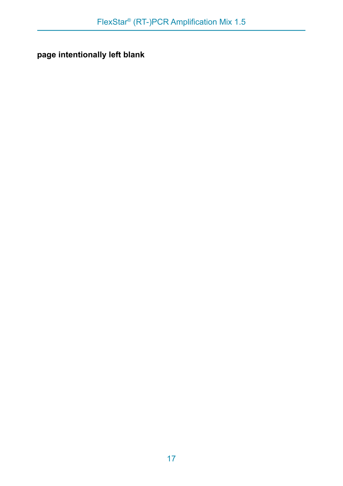**page intentionally left blank**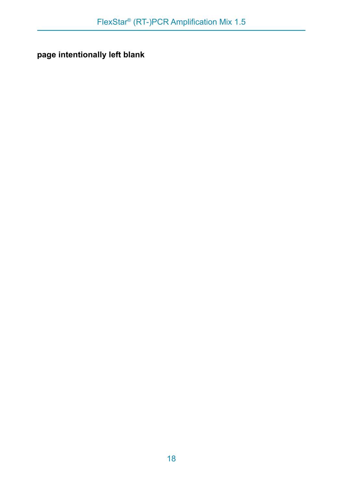**page intentionally left blank**